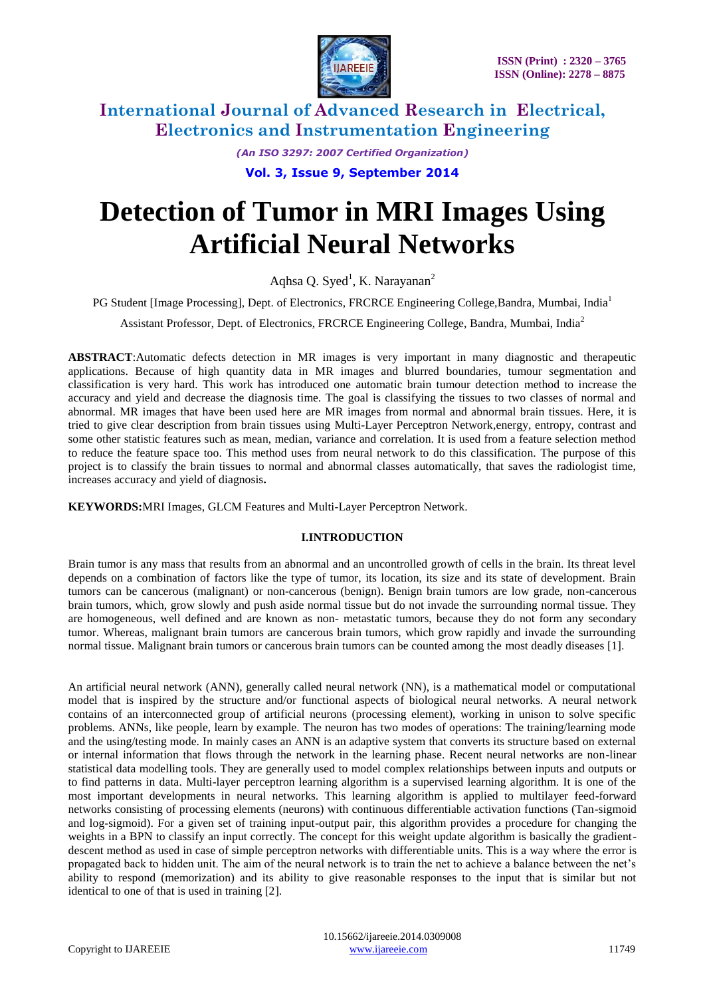

> *(An ISO 3297: 2007 Certified Organization)* **Vol. 3, Issue 9, September 2014**

# **Detection of Tumor in MRI Images Using Artificial Neural Networks**

Aqhsa Q. Syed<sup>1</sup>, K. Narayanan<sup>2</sup>

PG Student [Image Processing], Dept. of Electronics, FRCRCE Engineering College,Bandra, Mumbai, India<sup>1</sup>

Assistant Professor, Dept. of Electronics, FRCRCE Engineering College, Bandra, Mumbai, India<sup>2</sup>

**ABSTRACT**:Automatic defects detection in MR images is very important in many diagnostic and therapeutic applications. Because of high quantity data in MR images and blurred boundaries, tumour segmentation and classification is very hard. This work has introduced one automatic brain tumour detection method to increase the accuracy and yield and decrease the diagnosis time. The goal is classifying the tissues to two classes of normal and abnormal. MR images that have been used here are MR images from normal and abnormal brain tissues. Here, it is tried to give clear description from brain tissues using Multi-Layer Perceptron Network,energy, entropy, contrast and some other statistic features such as mean, median, variance and correlation. It is used from a feature selection method to reduce the feature space too. This method uses from neural network to do this classification. The purpose of this project is to classify the brain tissues to normal and abnormal classes automatically, that saves the radiologist time, increases accuracy and yield of diagnosis**.**

**KEYWORDS:**MRI Images, GLCM Features and Multi-Layer Perceptron Network.

### **I.INTRODUCTION**

Brain tumor is any mass that results from an abnormal and an uncontrolled growth of cells in the brain. Its threat level depends on a combination of factors like the type of tumor, its location, its size and its state of development. Brain tumors can be cancerous (malignant) or non-cancerous (benign). Benign brain tumors are low grade, non-cancerous brain tumors, which, grow slowly and push aside normal tissue but do not invade the surrounding normal tissue. They are homogeneous, well defined and are known as non- metastatic tumors, because they do not form any secondary tumor. Whereas, malignant brain tumors are cancerous brain tumors, which grow rapidly and invade the surrounding normal tissue. Malignant brain tumors or cancerous brain tumors can be counted among the most deadly diseases [1].

An artificial neural network (ANN), generally called neural network (NN), is a mathematical model or computational model that is inspired by the structure and/or functional aspects of biological neural networks. A neural network contains of an interconnected group of artificial neurons (processing element), working in unison to solve specific problems. ANNs, like people, learn by example. The neuron has two modes of operations: The training/learning mode and the using/testing mode. In mainly cases an ANN is an adaptive system that converts its structure based on external or internal information that flows through the network in the learning phase. Recent neural networks are non-linear statistical data modelling tools. They are generally used to model complex relationships between inputs and outputs or to find patterns in data. Multi-layer perceptron learning algorithm is a supervised learning algorithm. It is one of the most important developments in neural networks. This learning algorithm is applied to multilayer feed-forward networks consisting of processing elements (neurons) with continuous differentiable activation functions (Tan-sigmoid and log-sigmoid). For a given set of training input-output pair, this algorithm provides a procedure for changing the weights in a BPN to classify an input correctly. The concept for this weight update algorithm is basically the gradientdescent method as used in case of simple perceptron networks with differentiable units. This is a way where the error is propagated back to hidden unit. The aim of the neural network is to train the net to achieve a balance between the net"s ability to respond (memorization) and its ability to give reasonable responses to the input that is similar but not identical to one of that is used in training [2].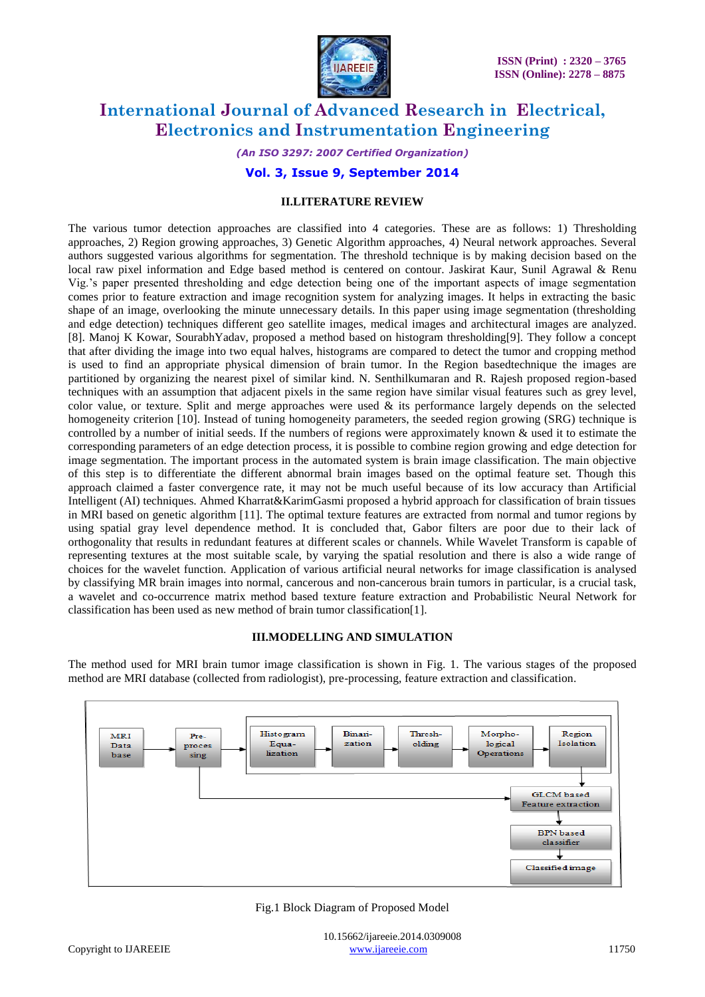

*(An ISO 3297: 2007 Certified Organization)*

#### **Vol. 3, Issue 9, September 2014**

#### **II.LITERATURE REVIEW**

The various tumor detection approaches are classified into 4 categories. These are as follows: 1) Thresholding approaches, 2) Region growing approaches, 3) Genetic Algorithm approaches, 4) Neural network approaches. Several authors suggested various algorithms for segmentation. The threshold technique is by making decision based on the local raw pixel information and Edge based method is centered on contour. Jaskirat Kaur, Sunil Agrawal & Renu Vig."s paper presented thresholding and edge detection being one of the important aspects of image segmentation comes prior to feature extraction and image recognition system for analyzing images. It helps in extracting the basic shape of an image, overlooking the minute unnecessary details. In this paper using image segmentation (thresholding and edge detection) techniques different geo satellite images, medical images and architectural images are analyzed. [8]. Manoj K Kowar, SourabhYadav, proposed a method based on histogram thresholding[9]. They follow a concept that after dividing the image into two equal halves, histograms are compared to detect the tumor and cropping method is used to find an appropriate physical dimension of brain tumor. In the Region basedtechnique the images are partitioned by organizing the nearest pixel of similar kind. N. Senthilkumaran and R. Rajesh proposed region-based techniques with an assumption that adjacent pixels in the same region have similar visual features such as grey level, color value, or texture. Split and merge approaches were used  $\&$  its performance largely depends on the selected homogeneity criterion [10]. Instead of tuning homogeneity parameters, the seeded region growing (SRG) technique is controlled by a number of initial seeds. If the numbers of regions were approximately known  $\&$  used it to estimate the corresponding parameters of an edge detection process, it is possible to combine region growing and edge detection for image segmentation. The important process in the automated system is brain image classification. The main objective of this step is to differentiate the different abnormal brain images based on the optimal feature set. Though this approach claimed a faster convergence rate, it may not be much useful because of its low accuracy than Artificial Intelligent (AI) techniques. Ahmed Kharrat&KarimGasmi proposed a hybrid approach for classification of brain tissues in MRI based on genetic algorithm [11]. The optimal texture features are extracted from normal and tumor regions by using spatial gray level dependence method. It is concluded that, Gabor filters are poor due to their lack of orthogonality that results in redundant features at different scales or channels. While Wavelet Transform is capable of representing textures at the most suitable scale, by varying the spatial resolution and there is also a wide range of choices for the wavelet function. Application of various artificial neural networks for image classification is analysed by classifying MR brain images into normal, cancerous and non-cancerous brain tumors in particular, is a crucial task, a wavelet and co-occurrence matrix method based texture feature extraction and Probabilistic Neural Network for classification has been used as new method of brain tumor classification[1].

#### **III.MODELLING AND SIMULATION**

The method used for MRI brain tumor image classification is shown in Fig. 1. The various stages of the proposed method are MRI database (collected from radiologist), pre-processing, feature extraction and classification.



Fig.1 Block Diagram of Proposed Model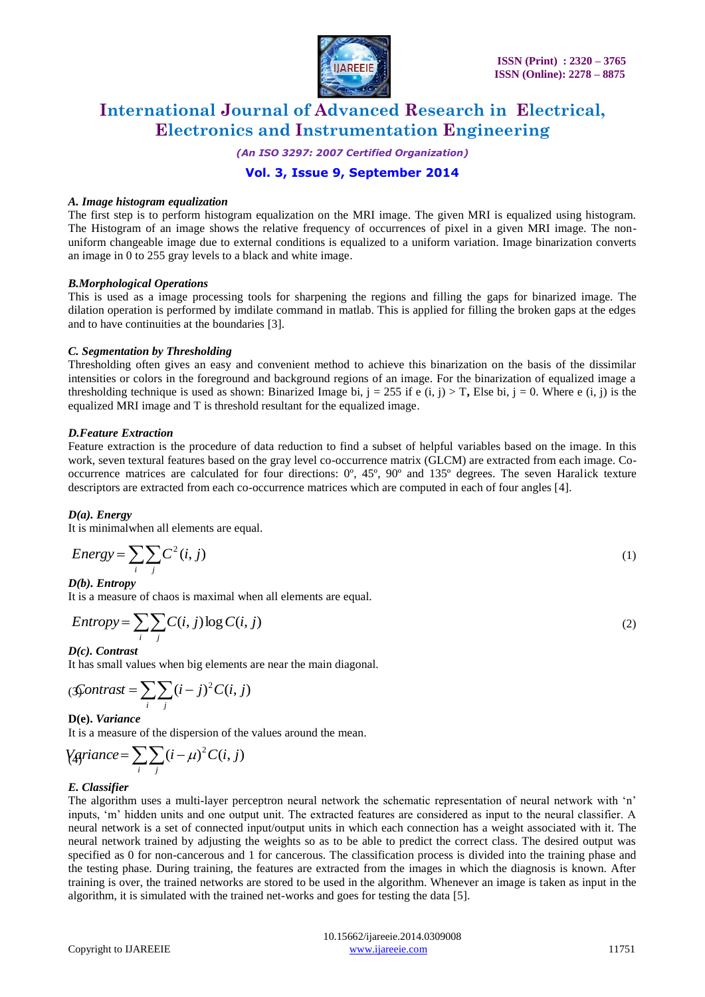

*(An ISO 3297: 2007 Certified Organization)*

### **Vol. 3, Issue 9, September 2014**

#### *A. Image histogram equalization*

The first step is to perform histogram equalization on the MRI image. The given MRI is equalized using histogram. The Histogram of an image shows the relative frequency of occurrences of pixel in a given MRI image. The nonuniform changeable image due to external conditions is equalized to a uniform variation. Image binarization converts an image in 0 to 255 gray levels to a black and white image.

#### *B.Morphological Operations*

This is used as a image processing tools for sharpening the regions and filling the gaps for binarized image. The dilation operation is performed by imdilate command in matlab. This is applied for filling the broken gaps at the edges and to have continuities at the boundaries [3].

#### *C. Segmentation by Thresholding*

Thresholding often gives an easy and convenient method to achieve this binarization on the basis of the dissimilar intensities or colors in the foreground and background regions of an image. For the binarization of equalized image a thresholding technique is used as shown: Binarized Image bi,  $j = 255$  if e (i, j) > T, Else bi,  $j = 0$ . Where e (i, j) is the equalized MRI image and T is threshold resultant for the equalized image.

#### *D.Feature Extraction*

Feature extraction is the procedure of data reduction to find a subset of helpful variables based on the image. In this work, seven textural features based on the gray level co-occurrence matrix (GLCM) are extracted from each image. Cooccurrence matrices are calculated for four directions: 0º, 45º, 90º and 135º degrees. The seven Haralick texture descriptors are extracted from each co-occurrence matrices which are computed in each of four angles [4].

#### *D(a). Energy*

It is minimalwhen all elements are equal.

$$
Energy = \sum_{i} \sum_{j} C^{2}(i, j)
$$
 (1)

*D(b). Entropy*

It is a measure of chaos is maximal when all elements are equal.

$$
Entropy = \sum_{i} \sum_{j} C(i, j) \log C(i, j)
$$
\n<sup>(2)</sup>

#### *D(c). Contrast*

It has small values when big elements are near the main diagonal.

$$
\textcirc{Contrast} = \sum_{i} \sum_{j} (i - j)^2 C(i, j)
$$

#### **D(e).** *Variance*

It is a measure of the dispersion of the values around the mean.

$$
\text{V}(\text{griance} = \sum_{i} \sum_{j} (i - \mu)^2 C(i, j)
$$

#### *E. Classifier*

The algorithm uses a multi-layer perceptron neural network the schematic representation of neural network with 'n' inputs, "m" hidden units and one output unit. The extracted features are considered as input to the neural classifier. A neural network is a set of connected input/output units in which each connection has a weight associated with it. The neural network trained by adjusting the weights so as to be able to predict the correct class. The desired output was specified as 0 for non-cancerous and 1 for cancerous. The classification process is divided into the training phase and the testing phase. During training, the features are extracted from the images in which the diagnosis is known. After training is over, the trained networks are stored to be used in the algorithm. Whenever an image is taken as input in the algorithm, it is simulated with the trained net-works and goes for testing the data [5].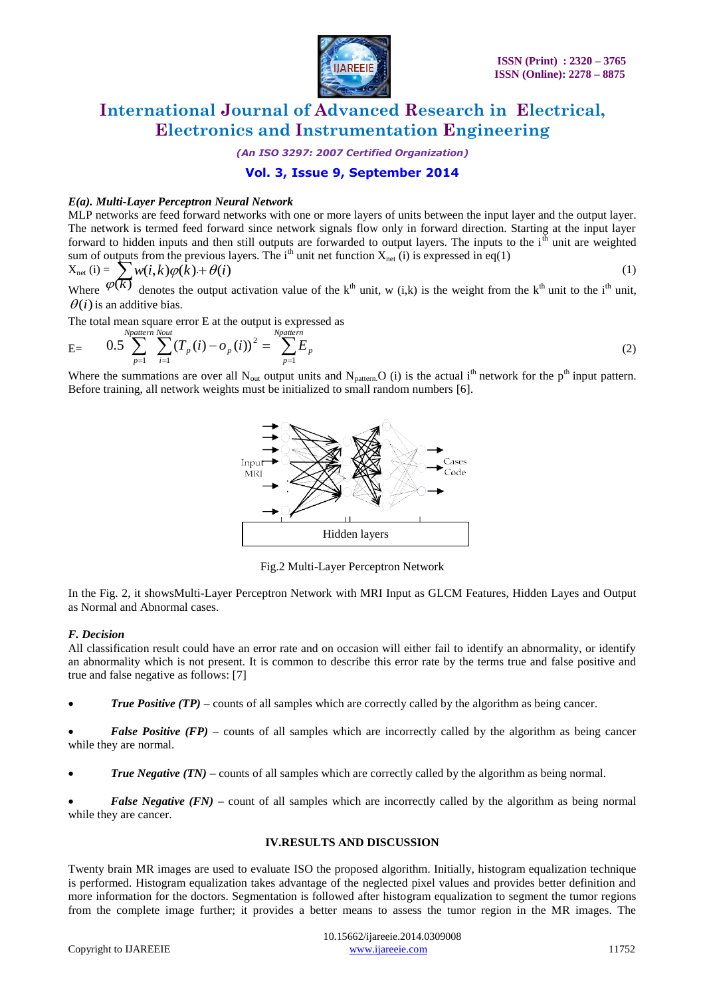

*(An ISO 3297: 2007 Certified Organization)*

### **Vol. 3, Issue 9, September 2014**

#### *E(a). Multi-Layer Perceptron Neural Network*

MLP networks are feed forward networks with one or more layers of units between the input layer and the output layer. The network is termed feed forward since network signals flow only in forward direction. Starting at the input layer forward to hidden inputs and then still outputs are forwarded to output layers. The inputs to the  $i<sup>th</sup>$  unit are weighted sum of outputs from the previous layers. The i<sup>th</sup> unit net function  $X_{net}$  (i) is expressed in eq(1)

$$
X_{\text{net}}(i) = \sum_{k=1}^{n} w(i,k) \varphi(k) + \theta(i)
$$
\nWhere  $\varphi(k)$  denotes the output activation value of the  $k^{\text{th}}$  unit,  $w(i,k)$  is the weight from the  $k^{\text{th}}$  unit to the  $i^{\text{th}}$  unit.

 $\theta(i)$  is an additive bias.

The total mean square error E at the output is expressed as

$$
E = \t 0.5 \sum_{p=1}^{Npattern \; Nout} \sum_{i=1}^{Nout} (T_p(i) - o_p(i))^2 = \sum_{p=1}^{Npattern} E_p \t (2)
$$

Where the summations are over all  $N_{out}$  output units and  $N_{pattern}$ . O (i) is the actual i<sup>th</sup> network for the p<sup>th</sup> input pattern. Before training, all network weights must be initialized to small random numbers [6].



Fig.2 Multi-Layer Perceptron Network

In the Fig. 2, it showsMulti-Layer Perceptron Network with MRI Input as GLCM Features, Hidden Layes and Output as Normal and Abnormal cases.

#### *F. Decision*

All classification result could have an error rate and on occasion will either fail to identify an abnormality, or identify an abnormality which is not present. It is common to describe this error rate by the terms true and false positive and true and false negative as follows: [7]

*True Positive (TP)* – counts of all samples which are correctly called by the algorithm as being cancer.

*False Positive (FP)* – counts of all samples which are incorrectly called by the algorithm as being cancer while they are normal.

*True Negative (TN)* – counts of all samples which are correctly called by the algorithm as being normal.

*False Negative (FN)* – count of all samples which are incorrectly called by the algorithm as being normal while they are cancer.

#### **IV.RESULTS AND DISCUSSION**

Twenty brain MR images are used to evaluate ISO the proposed algorithm. Initially, histogram equalization technique is performed. Histogram equalization takes advantage of the neglected pixel values and provides better definition and more information for the doctors. Segmentation is followed after histogram equalization to segment the tumor regions from the complete image further; it provides a better means to assess the tumor region in the MR images. The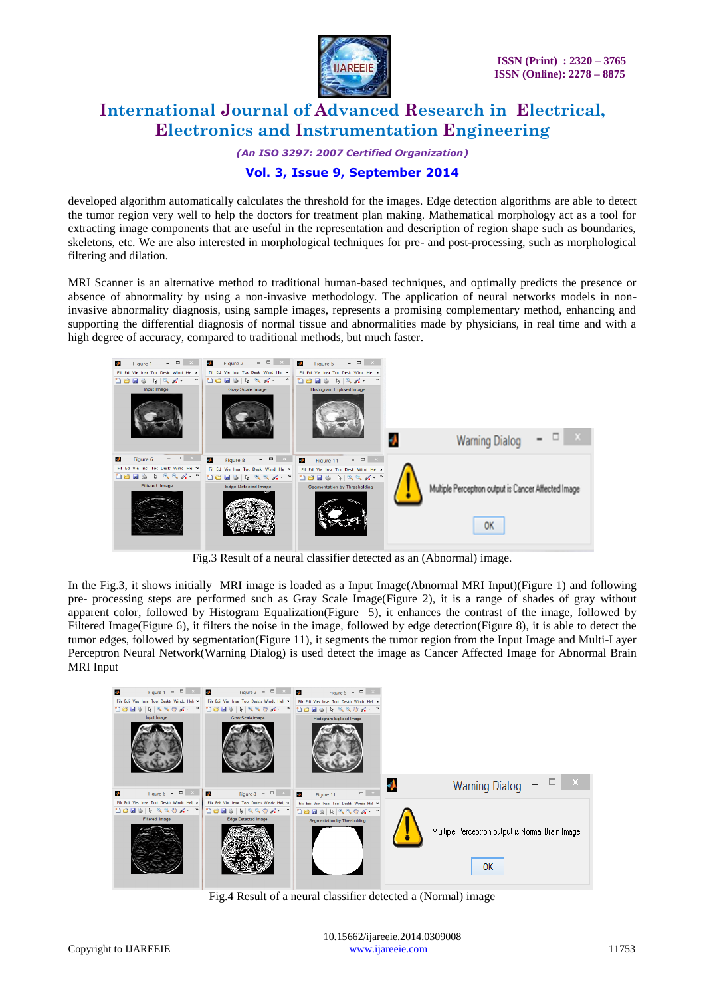

*(An ISO 3297: 2007 Certified Organization)*

### **Vol. 3, Issue 9, September 2014**

developed algorithm automatically calculates the threshold for the images. Edge detection algorithms are able to detect the tumor region very well to help the doctors for treatment plan making. Mathematical morphology act as a tool for extracting image components that are useful in the representation and description of region shape such as boundaries, skeletons, etc. We are also interested in morphological techniques for pre- and post-processing, such as morphological filtering and dilation.

MRI Scanner is an alternative method to traditional human-based techniques, and optimally predicts the presence or absence of abnormality by using a non-invasive methodology. The application of neural networks models in noninvasive abnormality diagnosis, using sample images, represents a promising complementary method, enhancing and supporting the differential diagnosis of normal tissue and abnormalities made by physicians, in real time and with a high degree of accuracy, compared to traditional methods, but much faster.



Fig.3 Result of a neural classifier detected as an (Abnormal) image.

In the Fig.3, it shows initially MRI image is loaded as a Input Image(Abnormal MRI Input)(Figure 1) and following pre- processing steps are performed such as Gray Scale Image(Figure 2), it is a range of shades of gray without apparent color, followed by Histogram Equalization(Figure 5), it enhances the contrast of the image, followed by Filtered Image(Figure 6), it filters the noise in the image, followed by edge detection(Figure 8), it is able to detect the tumor edges, followed by segmentation(Figure 11), it segments the tumor region from the Input Image and Multi-Layer Perceptron Neural Network(Warning Dialog) is used detect the image as Cancer Affected Image for Abnormal Brain MRI Input



Fig.4 Result of a neural classifier detected a (Normal) image